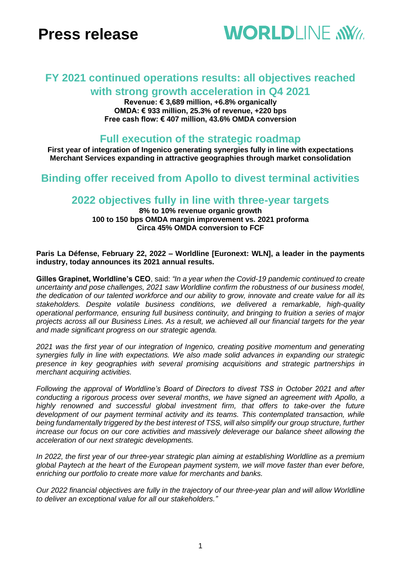# **Press release**



## **FY 2021 continued operations results: all objectives reached with strong growth acceleration in Q4 2021**

**Revenue: € 3,689 million, +6.8% organically OMDA: € 933 million, 25.3% of revenue, +220 bps Free cash flow: € 407 million, 43.6% OMDA conversion**

### **Full execution of the strategic roadmap**

**First year of integration of Ingenico generating synergies fully in line with expectations Merchant Services expanding in attractive geographies through market consolidation**

### **Binding offer received from Apollo to divest terminal activities**

### **2022 objectives fully in line with three-year targets**

**8% to 10% revenue organic growth 100 to 150 bps OMDA margin improvement vs. 2021 proforma Circa 45% OMDA conversion to FCF**

#### **Paris La Défense, February 22, 2022 – Worldline [Euronext: WLN], a leader in the payments industry, today announces its 2021 annual results.**

**Gilles Grapinet, Worldline's CEO**, said: *"In a year when the Covid-19 pandemic continued to create uncertainty and pose challenges, 2021 saw Worldline confirm the robustness of our business model, the dedication of our talented workforce and our ability to grow, innovate and create value for all its stakeholders. Despite volatile business conditions, we delivered a remarkable, high-quality operational performance, ensuring full business continuity, and bringing to fruition a series of major projects across all our Business Lines. As a result, we achieved all our financial targets for the year and made significant progress on our strategic agenda.*

*2021 was the first year of our integration of Ingenico, creating positive momentum and generating synergies fully in line with expectations. We also made solid advances in expanding our strategic presence in key geographies with several promising acquisitions and strategic partnerships in merchant acquiring activities.*

*Following the approval of Worldline's Board of Directors to divest TSS in October 2021 and after conducting a rigorous process over several months, we have signed an agreement with Apollo, a highly renowned and successful global investment firm, that offers to take-over the future development of our payment terminal activity and its teams. This contemplated transaction, while being fundamentally triggered by the best interest of TSS, will also simplify our group structure, further increase our focus on our core activities and massively deleverage our balance sheet allowing the acceleration of our next strategic developments.*

*In 2022, the first year of our three-year strategic plan aiming at establishing Worldline as a premium global Paytech at the heart of the European payment system, we will move faster than ever before, enriching our portfolio to create more value for merchants and banks.*

*Our 2022 financial objectives are fully in the trajectory of our three-year plan and will allow Worldline to deliver an exceptional value for all our stakeholders."*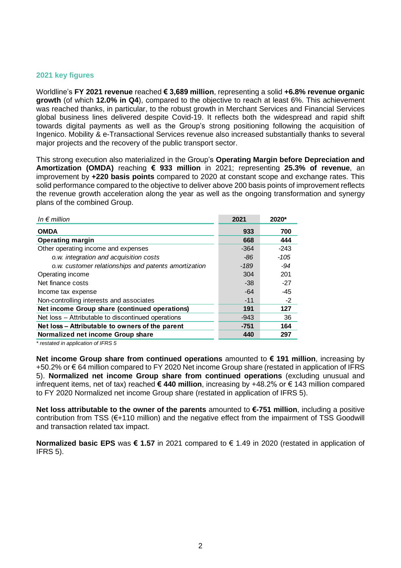#### **2021 key figures**

Worldline's **FY 2021 revenue** reached **€ 3,689 million**, representing a solid **+6.8% revenue organic growth** (of which **12.0% in Q4**), compared to the objective to reach at least 6%. This achievement was reached thanks, in particular, to the robust growth in Merchant Services and Financial Services global business lines delivered despite Covid-19. It reflects both the widespread and rapid shift towards digital payments as well as the Group's strong positioning following the acquisition of Ingenico. Mobility & e-Transactional Services revenue also increased substantially thanks to several major projects and the recovery of the public transport sector.

This strong execution also materialized in the Group's **Operating Margin before Depreciation and Amortization (OMDA)** reaching **€ 933 million** in 2021; representing **25.3% of revenue**, an improvement by **+220 basis points** compared to 2020 at constant scope and exchange rates. This solid performance compared to the objective to deliver above 200 basis points of improvement reflects the revenue growth acceleration along the year as well as the ongoing transformation and synergy plans of the combined Group.

| In $\epsilon$ million                                | 2021   | 2020*  |
|------------------------------------------------------|--------|--------|
| <b>OMDA</b>                                          | 933    | 700    |
| <b>Operating margin</b>                              | 668    | 444    |
| Other operating income and expenses                  | $-364$ | $-243$ |
| o.w. integration and acquisition costs               | -86    | $-105$ |
| o.w. customer relationships and patents amortization | -189   | -94    |
| Operating income                                     | 304    | 201    |
| Net finance costs                                    | -38    | $-27$  |
| Income tax expense                                   | -64    | -45    |
| Non-controlling interests and associates             | $-11$  | $-2$   |
| Net income Group share (continued operations)        | 191    | 127    |
| Net loss – Attributable to discontinued operations   | $-943$ | 36     |
| Net loss - Attributable to owners of the parent      | $-751$ | 164    |
| Normalized net income Group share                    | 440    | 297    |

*\* restated in application of IFRS 5*

**Net income Group share from continued operations** amounted to **€ 191 million**, increasing by +50.2% or € 64 million compared to FY 2020 Net income Group share (restated in application of IFRS 5). **Normalized net income Group share from continued operations** (excluding unusual and infrequent items, net of tax) reached **€ 440 million**, increasing by +48.2% or € 143 million compared to FY 2020 Normalized net income Group share (restated in application of IFRS 5).

**Net loss attributable to the owner of the parents** amounted to **€-751 million**, including a positive contribution from TSS (€+110 million) and the negative effect from the impairment of TSS Goodwill and transaction related tax impact.

**Normalized basic EPS** was **€ 1.57** in 2021 compared to € 1.49 in 2020 (restated in application of IFRS 5).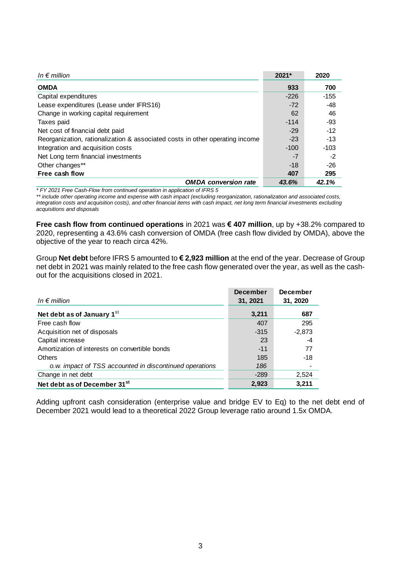| In $\epsilon$ million                                                        | 2021*  | 2020   |
|------------------------------------------------------------------------------|--------|--------|
| <b>OMDA</b>                                                                  | 933    | 700    |
| Capital expenditures                                                         | $-226$ | $-155$ |
| Lease expenditures (Lease under IFRS16)                                      | $-72$  | -48    |
| Change in working capital requirement                                        | 62     | 46     |
| Taxes paid                                                                   | $-114$ | -93    |
| Net cost of financial debt paid                                              | $-29$  | $-12$  |
| Reorganization, rationalization & associated costs in other operating income | $-23$  | $-13$  |
| Integration and acquisition costs                                            | $-100$ | $-103$ |
| Net Long term financial investments                                          | -7     | $-2$   |
| Other changes**                                                              | $-18$  | $-26$  |
| Free cash flow                                                               | 407    | 295    |
| <b>OMDA</b> conversion rate                                                  | 43.6%  | 42.1%  |

*\* FY 2021 Free Cash-Flow from continued operation in application of IFRS 5*

*\*\* include other operating income and expense with cash impact (excluding reorganization, rationalization and associated costs, integration costs and acquisition costs), and other financial items with cash impact, net long term financial investments excluding acquisitions and disposals*

**Free cash flow from continued operations** in 2021 was **€ 407 million**, up by +38.2% compared to 2020, representing a 43.6% cash conversion of OMDA (free cash flow divided by OMDA), above the objective of the year to reach circa 42%.

Group **Net debt** before IFRS 5 amounted to **€ 2,923 million** at the end of the year. Decrease of Group net debt in 2021 was mainly related to the free cash flow generated over the year, as well as the cashout for the acquisitions closed in 2021.

| In $\epsilon$ million                                   | <b>December</b><br>31, 2021 | <b>December</b><br>31, 2020 |
|---------------------------------------------------------|-----------------------------|-----------------------------|
| Net debt as of January 1st                              | 3,211                       | 687                         |
| Free cash flow                                          | 407                         | 295                         |
| Acquisition net of disposals                            | $-315$                      | $-2,873$                    |
| Capital increase                                        | 23                          | -4                          |
| Amortization of interests on convertible bonds          | $-11$                       | 77                          |
| Others                                                  | 185                         | $-18$                       |
| o.w. impact of TSS accounted in discontinued operations | 186                         |                             |
| Change in net debt                                      | $-289$                      | 2,524                       |
| Net debt as of December 31 <sup>st</sup>                | 2,923                       | 3,211                       |

Adding upfront cash consideration (enterprise value and bridge EV to Eq) to the net debt end of December 2021 would lead to a theoretical 2022 Group leverage ratio around 1.5x OMDA.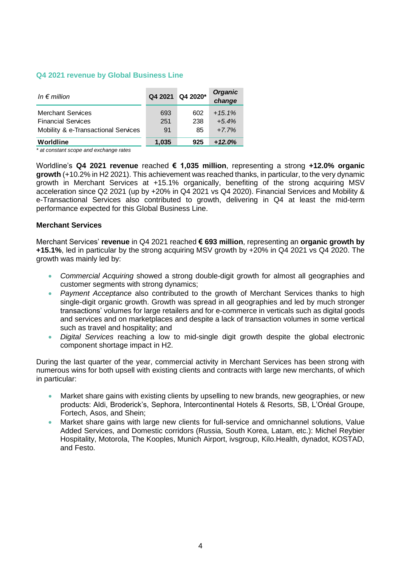#### **Q4 2021 revenue by Global Business Line**

| In $\epsilon$ million                                                                        | Q4 2021          | Q4 2020*         | <b>Organic</b><br>change       |
|----------------------------------------------------------------------------------------------|------------------|------------------|--------------------------------|
| <b>Merchant Services</b><br><b>Financial Services</b><br>Mobility & e-Transactional Services | 693<br>251<br>91 | 602<br>238<br>85 | $+15.1%$<br>$+5.4%$<br>$+7.7%$ |
| Worldline                                                                                    | 1,035            | 925              | $+12.0%$                       |

*\* at constant scope and exchange rates*

Worldline's **Q4 2021 revenue** reached **€ 1,035 million**, representing a strong **+12.0% organic growth** (+10.2% in H2 2021). This achievement was reached thanks, in particular, to the very dynamic growth in Merchant Services at +15.1% organically, benefiting of the strong acquiring MSV acceleration since Q2 2021 (up by +20% in Q4 2021 vs Q4 2020). Financial Services and Mobility & e-Transactional Services also contributed to growth, delivering in Q4 at least the mid-term performance expected for this Global Business Line.

#### **Merchant Services**

Merchant Services' **revenue** in Q4 2021 reached **€ 693 million**, representing an **organic growth by +15.1%**, led in particular by the strong acquiring MSV growth by +20% in Q4 2021 vs Q4 2020. The growth was mainly led by:

- *Commercial Acquiring* showed a strong double-digit growth for almost all geographies and customer segments with strong dynamics;
- *Payment Acceptance* also contributed to the growth of Merchant Services thanks to high single-digit organic growth. Growth was spread in all geographies and led by much stronger transactions' volumes for large retailers and for e-commerce in verticals such as digital goods and services and on marketplaces and despite a lack of transaction volumes in some vertical such as travel and hospitality; and
- *Digital Services* reaching a low to mid-single digit growth despite the global electronic component shortage impact in H2.

During the last quarter of the year, commercial activity in Merchant Services has been strong with numerous wins for both upsell with existing clients and contracts with large new merchants, of which in particular:

- Market share gains with existing clients by upselling to new brands, new geographies, or new products: Aldi, Broderick's, Sephora, Intercontinental Hotels & Resorts, SB, L'Oréal Groupe, Fortech, Asos, and Shein;
- Market share gains with large new clients for full-service and omnichannel solutions, Value Added Services, and Domestic corridors (Russia, South Korea, Latam, etc.): Michel Reybier Hospitality, Motorola, The Kooples, Munich Airport, ivsgroup, Kilo.Health, dynadot, KOSTAD, and Festo.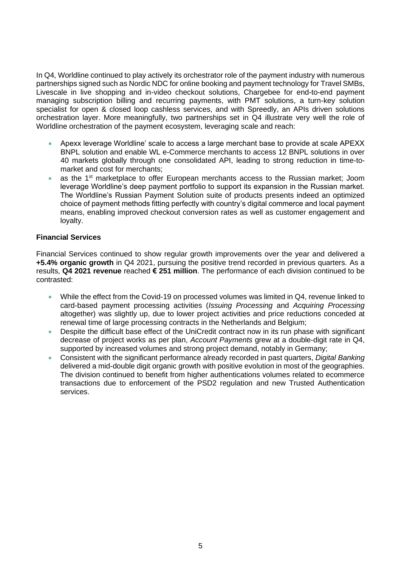In Q4, Worldline continued to play actively its orchestrator role of the payment industry with numerous partnerships signed such as Nordic NDC for online booking and payment technology for Travel SMBs, Livescale in live shopping and in-video checkout solutions, Chargebee for end-to-end payment managing subscription billing and recurring payments, with PMT solutions, a turn-key solution specialist for open & closed loop cashless services, and with Spreedly, an APIs driven solutions orchestration layer. More meaningfully, two partnerships set in Q4 illustrate very well the role of Worldline orchestration of the payment ecosystem, leveraging scale and reach:

- Apexx leverage Worldline' scale to access a large merchant base to provide at scale APEXX BNPL solution and enable WL e-Commerce merchants to access 12 BNPL solutions in over 40 markets globally through one consolidated API, leading to strong reduction in time-tomarket and cost for merchants;
- as the 1<sup>st</sup> marketplace to offer European merchants access to the Russian market; Joom leverage Worldline's deep payment portfolio to support its expansion in the Russian market. The Worldline's Russian Payment Solution suite of products presents indeed an optimized choice of payment methods fitting perfectly with country's digital commerce and local payment means, enabling improved checkout conversion rates as well as customer engagement and loyalty.

#### **Financial Services**

Financial Services continued to show regular growth improvements over the year and delivered a **+5.4% organic growth** in Q4 2021, pursuing the positive trend recorded in previous quarters. As a results, **Q4 2021 revenue** reached **€ 251 million**. The performance of each division continued to be contrasted:

- While the effect from the Covid-19 on processed volumes was limited in Q4, revenue linked to card-based payment processing activities (*Issuing Processing* and *Acquiring Processing* altogether) was slightly up, due to lower project activities and price reductions conceded at renewal time of large processing contracts in the Netherlands and Belgium;
- Despite the difficult base effect of the UniCredit contract now in its run phase with significant decrease of project works as per plan, *Account Payments* grew at a double-digit rate in Q4, supported by increased volumes and strong project demand, notably in Germany;
- Consistent with the significant performance already recorded in past quarters, *Digital Banking* delivered a mid-double digit organic growth with positive evolution in most of the geographies. The division continued to benefit from higher authentications volumes related to ecommerce transactions due to enforcement of the PSD2 regulation and new Trusted Authentication services.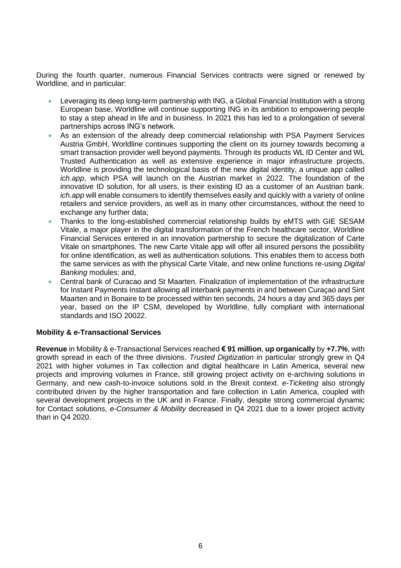During the fourth quarter, numerous Financial Services contracts were signed or renewed by Worldline, and in particular:

- Leveraging its deep long-term partnership with ING, a Global Financial Institution with a strong European base, Worldline will continue supporting ING in its ambition to empowering people to stay a step ahead in life and in business. In 2021 this has led to a prolongation of several partnerships across ING's network.
- As an extension of the already deep commercial relationship with PSA Payment Services Austria GmbH, Worldline continues supporting the client on its journey towards becoming a smart transaction provider well beyond payments. Through its products WL ID Center and WL Trusted Authentication as well as extensive experience in major infrastructure projects, Worldline is providing the technological basis of the new digital identity, a unique app called *ich.app*, which PSA will launch on the Austrian market in 2022. The foundation of the innovative ID solution, for all users, is their existing ID as a customer of an Austrian bank. *ich.app* will enable consumers to identify themselves easily and quickly with a variety of online retailers and service providers, as well as in many other circumstances, without the need to exchange any further data;
- Thanks to the long-established commercial relationship builds by eMTS with GIE SESAM Vitale, a major player in the digital transformation of the French healthcare sector, Worldline Financial Services entered in an innovation partnership to secure the digitalization of Carte Vitale on smartphones. The new Carte Vitale app will offer all insured persons the possibility for online identification, as well as authentication solutions. This enables them to access both the same services as with the physical Carte Vitale, and new online functions re-using *Digital Banking* modules; and,
- Central bank of Curacao and St Maarten. Finalization of implementation of the infrastructure for Instant Payments Instant allowing all interbank payments in and between Curaçao and Sint Maarten and in Bonaire to be processed within ten seconds, 24 hours a day and 365 days per year, based on the IP CSM, developed by Worldline, fully compliant with international standards and ISO 20022.

#### **Mobility & e-Transactional Services**

**Revenue** in Mobility & e-Transactional Services reached **€ 91 million**, **up organically** by **+7.7%**, with growth spread in each of the three divisions. *Trusted Digitization* in particular strongly grew in Q4 2021 with higher volumes in Tax collection and digital healthcare in Latin America, several new projects and improving volumes in France, still growing project activity on e-archiving solutions in Germany, and new cash-to-invoice solutions sold in the Brexit context. *e-Ticketing* also strongly contributed driven by the higher transportation and fare collection in Latin America, coupled with several development projects in the UK and in France. Finally, despite strong commercial dynamic for Contact solutions, *e-Consumer & Mobility* decreased in Q4 2021 due to a lower project activity than in Q4 2020.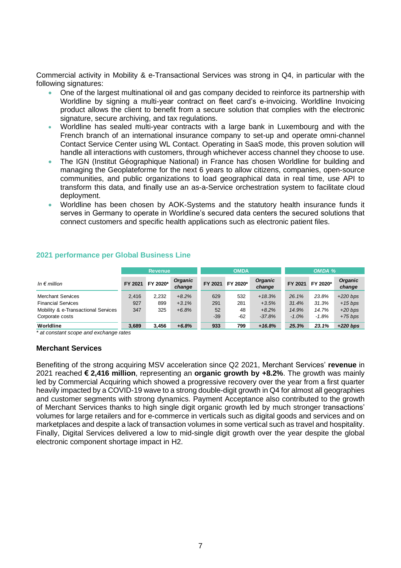Commercial activity in Mobility & e-Transactional Services was strong in Q4, in particular with the following signatures:

- One of the largest multinational oil and gas company decided to reinforce its partnership with Worldline by signing a multi-year contract on fleet card's e-invoicing. Worldline Invoicing product allows the client to benefit from a secure solution that complies with the electronic signature, secure archiving, and tax regulations.
- Worldline has sealed multi-year contracts with a large bank in Luxembourg and with the French branch of an international insurance company to set-up and operate omni-channel Contact Service Center using WL Contact. Operating in SaaS mode, this proven solution will handle all interactions with customers, through whichever access channel they choose to use.
- The IGN (Institut Géographique National) in France has chosen Worldline for building and managing the Geoplateforme for the next 6 years to allow citizens, companies, open-source communities, and public organizations to load geographical data in real time, use API to transform this data, and finally use an as-a-Service orchestration system to facilitate cloud deployment.
- Worldline has been chosen by AOK-Systems and the statutory health insurance funds it serves in Germany to operate in Worldline's secured data centers the secured solutions that connect customers and specific health applications such as electronic patient files.

|                                     |         | <b>OMDA</b><br>$OMDA$ %<br><b>Revenue</b> |                          |         |          |                          |         |          |                          |
|-------------------------------------|---------|-------------------------------------------|--------------------------|---------|----------|--------------------------|---------|----------|--------------------------|
| In $\epsilon$ million               | FY 2021 | FY 2020*                                  | <b>Organic</b><br>change | FY 2021 | FY 2020* | <b>Organic</b><br>change | FY 2021 | FY 2020* | <b>Organic</b><br>change |
| Merchant Services                   | 2.416   | 2.232                                     | $+8.2%$                  | 629     | 532      | $+18.3%$                 | 26.1%   | 23.8%    | $+220$ bps               |
| <b>Financial Services</b>           | 927     | 899                                       | $+3.1%$                  | 291     | 281      | $+3.5%$                  | 31.4%   | 31.3%    | $+15$ bps                |
| Mobility & e-Transactional Services | 347     | 325                                       | $+6.8%$                  | 52      | 48       | $+8.2%$                  | 14.9%   | 14.7%    | $+20$ bps                |
| Corporate costs                     |         |                                           |                          | $-39$   | $-62$    | $-37.8%$                 | $-1.0%$ | $-1.8%$  | $+75$ bps                |
| Worldline                           | 3,689   | 3.456                                     | $+6.8%$                  | 933     | 799      | $+16.8%$                 | 25.3%   | 23.1%    | $+220$ bps               |

#### **2021 performance per Global Business Line**

*\* at constant scope and exchange rates*

#### **Merchant Services**

Benefiting of the strong acquiring MSV acceleration since Q2 2021, Merchant Services' **revenue** in 2021 reached **€ 2,416 million**, representing an **organic growth by +8.2%**. The growth was mainly led by Commercial Acquiring which showed a progressive recovery over the year from a first quarter heavily impacted by a COVID-19 wave to a strong double-digit growth in Q4 for almost all geographies and customer segments with strong dynamics. Payment Acceptance also contributed to the growth of Merchant Services thanks to high single digit organic growth led by much stronger transactions' volumes for large retailers and for e-commerce in verticals such as digital goods and services and on marketplaces and despite a lack of transaction volumes in some vertical such as travel and hospitality. Finally, Digital Services delivered a low to mid-single digit growth over the year despite the global electronic component shortage impact in H2.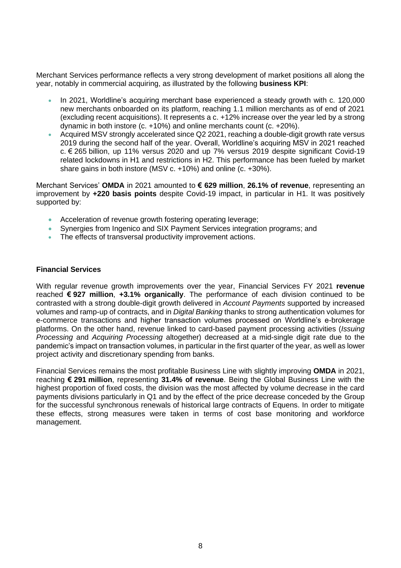Merchant Services performance reflects a very strong development of market positions all along the year, notably in commercial acquiring, as illustrated by the following **business KPI**:

- In 2021, Worldline's acquiring merchant base experienced a steady growth with c. 120,000 new merchants onboarded on its platform, reaching 1.1 million merchants as of end of 2021 (excluding recent acquisitions). It represents a c. +12% increase over the year led by a strong dynamic in both instore (c. +10%) and online merchants count (c. +20%).
- Acquired MSV strongly accelerated since Q2 2021, reaching a double-digit growth rate versus 2019 during the second half of the year. Overall, Worldline's acquiring MSV in 2021 reached c. € 265 billion, up 11% versus 2020 and up 7% versus 2019 despite significant Covid-19 related lockdowns in H1 and restrictions in H2. This performance has been fueled by market share gains in both instore (MSV c. +10%) and online (c. +30%).

Merchant Services' **OMDA** in 2021 amounted to **€ 629 million**, **26.1% of revenue**, representing an improvement by **+220 basis points** despite Covid-19 impact, in particular in H1. It was positively supported by:

- Acceleration of revenue growth fostering operating leverage;
- Synergies from Ingenico and SIX Payment Services integration programs; and
- The effects of transversal productivity improvement actions.

#### **Financial Services**

With regular revenue growth improvements over the year, Financial Services FY 2021 **revenue** reached **€ 927 million**, **+3.1% organically**. The performance of each division continued to be contrasted with a strong double-digit growth delivered in *Account Payments* supported by increased volumes and ramp-up of contracts, and in *Digital Banking* thanks to strong authentication volumes for e-commerce transactions and higher transaction volumes processed on Worldline's e-brokerage platforms. On the other hand, revenue linked to card-based payment processing activities (*Issuing Processing* and *Acquiring Processing* altogether) decreased at a mid-single digit rate due to the pandemic's impact on transaction volumes, in particular in the first quarter of the year, as well as lower project activity and discretionary spending from banks.

Financial Services remains the most profitable Business Line with slightly improving **OMDA** in 2021, reaching **€ 291 million**, representing **31.4% of revenue**. Being the Global Business Line with the highest proportion of fixed costs, the division was the most affected by volume decrease in the card payments divisions particularly in Q1 and by the effect of the price decrease conceded by the Group for the successful synchronous renewals of historical large contracts of Equens. In order to mitigate these effects, strong measures were taken in terms of cost base monitoring and workforce management.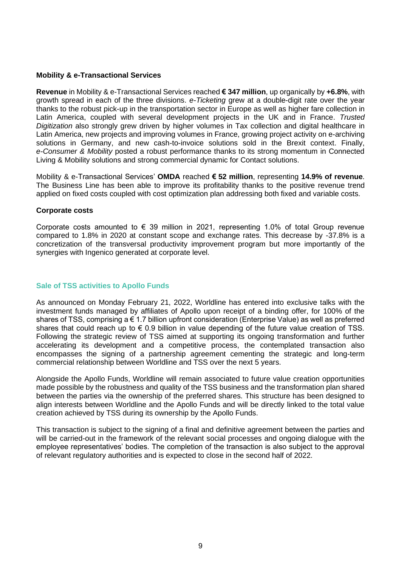#### **Mobility & e-Transactional Services**

**Revenue** in Mobility & e-Transactional Services reached **€ 347 million**, up organically by **+6.8%**, with growth spread in each of the three divisions. *e-Ticketing* grew at a double-digit rate over the year thanks to the robust pick-up in the transportation sector in Europe as well as higher fare collection in Latin America, coupled with several development projects in the UK and in France. *Trusted Digitization* also strongly grew driven by higher volumes in Tax collection and digital healthcare in Latin America, new projects and improving volumes in France, growing project activity on e-archiving solutions in Germany, and new cash-to-invoice solutions sold in the Brexit context. Finally, *e-Consumer & Mobility* posted a robust performance thanks to its strong momentum in Connected Living & Mobility solutions and strong commercial dynamic for Contact solutions.

Mobility & e-Transactional Services' **OMDA** reached **€ 52 million**, representing **14.9% of revenue**. The Business Line has been able to improve its profitability thanks to the positive revenue trend applied on fixed costs coupled with cost optimization plan addressing both fixed and variable costs.

#### **Corporate costs**

Corporate costs amounted to  $\epsilon$  39 million in 2021, representing 1.0% of total Group revenue compared to 1.8% in 2020 at constant scope and exchange rates. This decrease by -37.8% is a concretization of the transversal productivity improvement program but more importantly of the synergies with Ingenico generated at corporate level.

#### **Sale of TSS activities to Apollo Funds**

As announced on Monday February 21, 2022, Worldline has entered into exclusive talks with the investment funds managed by affiliates of Apollo upon receipt of a binding offer, for 100% of the shares of TSS, comprising a € 1.7 billion upfront consideration (Enterprise Value) as well as preferred shares that could reach up to  $\epsilon$  0.9 billion in value depending of the future value creation of TSS. Following the strategic review of TSS aimed at supporting its ongoing transformation and further accelerating its development and a competitive process, the contemplated transaction also encompasses the signing of a partnership agreement cementing the strategic and long-term commercial relationship between Worldline and TSS over the next 5 years.

Alongside the Apollo Funds, Worldline will remain associated to future value creation opportunities made possible by the robustness and quality of the TSS business and the transformation plan shared between the parties via the ownership of the preferred shares. This structure has been designed to align interests between Worldline and the Apollo Funds and will be directly linked to the total value creation achieved by TSS during its ownership by the Apollo Funds.

This transaction is subject to the signing of a final and definitive agreement between the parties and will be carried-out in the framework of the relevant social processes and ongoing dialogue with the employee representatives' bodies. The completion of the transaction is also subject to the approval of relevant regulatory authorities and is expected to close in the second half of 2022.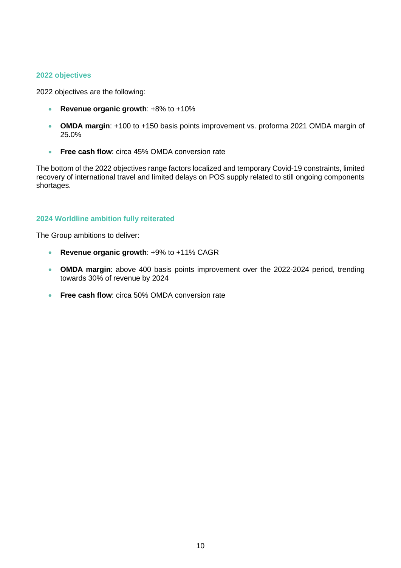#### **2022 objectives**

2022 objectives are the following:

- **Revenue organic growth**: +8% to +10%
- **OMDA margin**: +100 to +150 basis points improvement vs. proforma 2021 OMDA margin of 25.0%
- **Free cash flow:** circa 45% OMDA conversion rate

The bottom of the 2022 objectives range factors localized and temporary Covid-19 constraints, limited recovery of international travel and limited delays on POS supply related to still ongoing components shortages.

#### **2024 Worldline ambition fully reiterated**

The Group ambitions to deliver:

- **Revenue organic growth**: +9% to +11% CAGR
- **OMDA margin**: above 400 basis points improvement over the 2022-2024 period, trending towards 30% of revenue by 2024
- **Free cash flow**: circa 50% OMDA conversion rate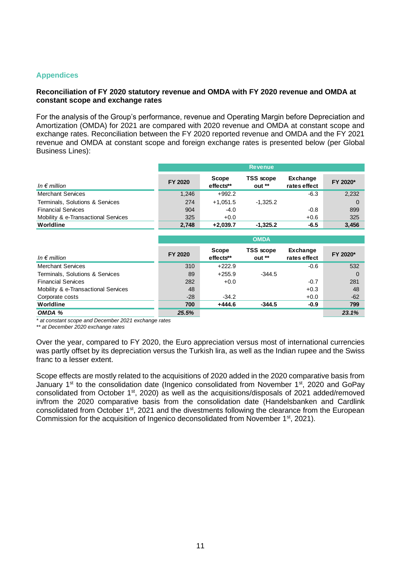#### **Appendices**

#### **Reconciliation of FY 2020 statutory revenue and OMDA with FY 2020 revenue and OMDA at constant scope and exchange rates**

For the analysis of the Group's performance, revenue and Operating Margin before Depreciation and Amortization (OMDA) for 2021 are compared with 2020 revenue and OMDA at constant scope and exchange rates. Reconciliation between the FY 2020 reported revenue and OMDA and the FY 2021 revenue and OMDA at constant scope and foreign exchange rates is presented below (per Global Business Lines):

|                                     | <b>Revenue</b> |                    |                             |                                 |          |  |  |  |
|-------------------------------------|----------------|--------------------|-----------------------------|---------------------------------|----------|--|--|--|
| In $\epsilon$ million               | FY 2020        | Scope<br>effects** | <b>TSS</b> scope<br>$out**$ | <b>Exchange</b><br>rates effect | FY 2020* |  |  |  |
| <b>Merchant Services</b>            | 1,246          | $+992.2$           |                             | $-6.3$                          | 2,232    |  |  |  |
| Terminals, Solutions & Services     | 274            | $+1.051.5$         | $-1.325.2$                  |                                 |          |  |  |  |
| <b>Financial Services</b>           | 904            | $-4.0$             |                             | $-0.8$                          | 899      |  |  |  |
| Mobility & e-Transactional Services | 325            | $+0.0$             |                             | $+0.6$                          | 325      |  |  |  |
| Worldline                           | 2,748          | $+2.039.7$         | $-1.325.2$                  | $-6.5$                          | 3.456    |  |  |  |

|                                     | <b>OMDA</b> |                    |                             |                          |          |  |  |  |  |
|-------------------------------------|-------------|--------------------|-----------------------------|--------------------------|----------|--|--|--|--|
| In $\epsilon$ million               | FY 2020     | Scope<br>effects** | <b>TSS</b> scope<br>$out**$ | Exchange<br>rates effect | FY 2020* |  |  |  |  |
| <b>Merchant Services</b>            | 310         | $+222.9$           |                             | $-0.6$                   | 532      |  |  |  |  |
| Terminals, Solutions & Services     | 89          | $+255.9$           | $-344.5$                    |                          | $\Omega$ |  |  |  |  |
| <b>Financial Services</b>           | 282         | $+0.0$             |                             | $-0.7$                   | 281      |  |  |  |  |
| Mobility & e-Transactional Services | 48          |                    |                             | $+0.3$                   | 48       |  |  |  |  |
| Corporate costs                     | $-28$       | $-34.2$            |                             | $+0.0$                   | $-62$    |  |  |  |  |
| Worldline                           | 700         | $+444.6$           | $-344.5$                    | $-0.9$                   | 799      |  |  |  |  |
| OMDA %                              | 25.5%       |                    |                             |                          | 23.1%    |  |  |  |  |

*\* at constant scope and December 2021 exchange rates*

*\*\* at December 2020 exchange rates*

Over the year, compared to FY 2020, the Euro appreciation versus most of international currencies was partly offset by its depreciation versus the Turkish lira, as well as the Indian rupee and the Swiss franc to a lesser extent.

Scope effects are mostly related to the acquisitions of 2020 added in the 2020 comparative basis from January 1<sup>st</sup> to the consolidation date (Ingenico consolidated from November 1<sup>st</sup>, 2020 and GoPay consolidated from October 1st, 2020) as well as the acquisitions/disposals of 2021 added/removed in/from the 2020 comparative basis from the consolidation date (Handelsbanken and Cardlink consolidated from October 1<sup>st</sup>, 2021 and the divestments following the clearance from the European Commission for the acquisition of Ingenico deconsolidated from November 1<sup>st</sup>, 2021).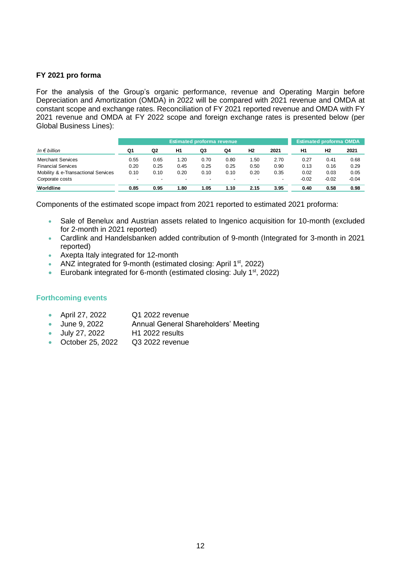#### **FY 2021 pro forma**

For the analysis of the Group's organic performance, revenue and Operating Margin before Depreciation and Amortization (OMDA) in 2022 will be compared with 2021 revenue and OMDA at constant scope and exchange rates. Reconciliation of FY 2021 reported revenue and OMDA with FY 2021 revenue and OMDA at FY 2022 scope and foreign exchange rates is presented below (per Global Business Lines):

|                                     | <b>Estimated proforma revenue</b> |                          |                          |      |      |                          |                          |                | <b>Estimated proforma OMDA</b> |         |
|-------------------------------------|-----------------------------------|--------------------------|--------------------------|------|------|--------------------------|--------------------------|----------------|--------------------------------|---------|
| In $\epsilon$ billion               | Q1                                | Q2                       | H1                       | Q3   | Q4   | H <sub>2</sub>           | 2021                     | H <sub>1</sub> | Н2                             | 2021    |
| <b>Merchant Services</b>            | 0.55                              | 0.65                     | 1.20                     | 0.70 | 0.80 | 1.50                     | 2.70                     | 0.27           | 0.41                           | 0.68    |
| <b>Financial Services</b>           | 0.20                              | 0.25                     | 0.45                     | 0.25 | 0.25 | 0.50                     | 0.90                     | 0.13           | 0.16                           | 0.29    |
| Mobility & e-Transactional Services | 0.10                              | 0.10                     | 0.20                     | 0.10 | 0.10 | 0.20                     | 0.35                     | 0.02           | 0.03                           | 0.05    |
| Corporate costs                     | $\overline{\phantom{0}}$          | $\overline{\phantom{a}}$ | $\overline{\phantom{0}}$ | $\,$ |      | $\overline{\phantom{a}}$ | $\overline{\phantom{0}}$ | $-0.02$        | $-0.02$                        | $-0.04$ |
| Worldline                           | 0.85                              | 0.95                     | . 80                     | 1.05 | 1.10 | 2.15                     | 3.95                     | 0.40           | 0.58                           | 0.98    |

Components of the estimated scope impact from 2021 reported to estimated 2021 proforma:

- Sale of Benelux and Austrian assets related to Ingenico acquisition for 10-month (excluded for 2-month in 2021 reported)
- Cardlink and Handelsbanken added contribution of 9-month (Integrated for 3-month in 2021 reported)
- Axepta Italy integrated for 12-month
- ANZ integrated for 9-month (estimated closing: April  $1<sup>st</sup>$ , 2022)
- Eurobank integrated for 6-month (estimated closing: July  $1<sup>st</sup>$ , 2022)

#### **Forthcoming events**

- April 27, 2022 Q1 2022 revenue
- June 9, 2022 Annual General Shareholders' Meeting
- July 27, 2022 H1 2022 results
- October 25, 2022 Q3 2022 revenue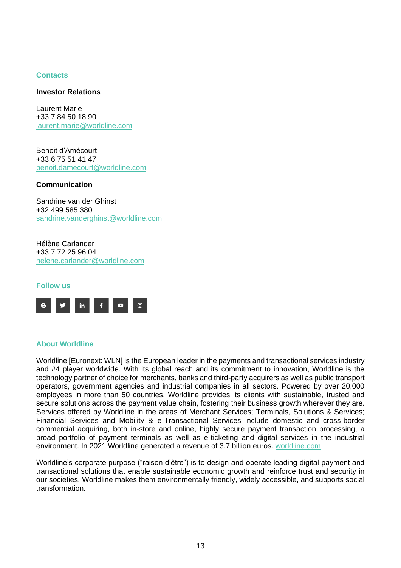#### **Contacts**

#### **Investor Relations**

Laurent Marie +33 7 84 50 18 90 [laurent.marie@worldline.com](mailto:laurent.marie@worldline.com)

Benoit d'Amécourt +33 6 75 51 41 47 [benoit.damecourt@worldline.com](mailto:benoit.damecourt@worldline.com)

#### **Communication**

Sandrine van der Ghinst +32 499 585 380 [sandrine.vanderghinst@worldline.com](mailto:sandrine.vanderghinst@worldline.com)

Hélène Carlander +33 7 72 25 96 04 [helene.carlander@worldline.com](mailto:helene.carlander@worldline.com)



#### **About Worldline**

Worldline [Euronext: WLN] is the European leader in the payments and transactional services industry and #4 player worldwide. With its global reach and its commitment to innovation, Worldline is the technology partner of choice for merchants, banks and third-party acquirers as well as public transport operators, government agencies and industrial companies in all sectors. Powered by over 20,000 employees in more than 50 countries, Worldline provides its clients with sustainable, trusted and secure solutions across the payment value chain, fostering their business growth wherever they are. Services offered by Worldline in the areas of Merchant Services; Terminals, Solutions & Services; Financial Services and Mobility & e-Transactional Services include domestic and cross-border commercial acquiring, both in-store and online, highly secure payment transaction processing, a broad portfolio of payment terminals as well as e-ticketing and digital services in the industrial environment. In 2021 Worldline generated a revenue of 3.7 billion euros. [worldline.com](http://www.worldline.com/)

Worldline's corporate purpose ("raison d'être") is to design and operate leading digital payment and transactional solutions that enable sustainable economic growth and reinforce trust and security in our societies. Worldline makes them environmentally friendly, widely accessible, and supports social transformation.